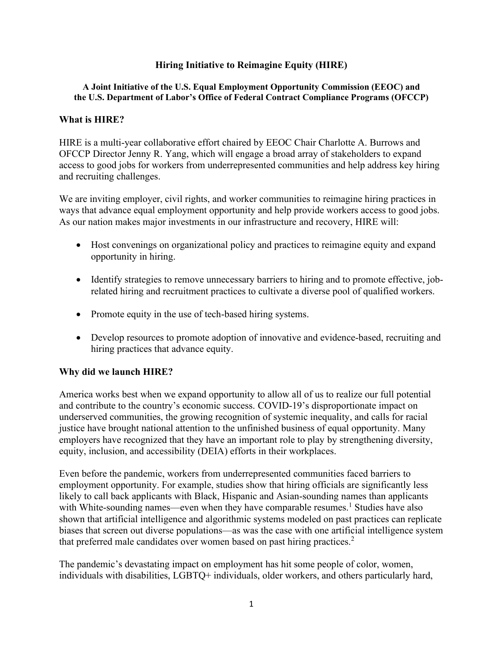## **Hiring Initiative to Reimagine Equity (HIRE)**

#### **A Joint Initiative of the U.S. Equal Employment Opportunity Commission (EEOC) and the U.S. Department of Labor's Office of Federal Contract Compliance Programs (OFCCP)**

#### **What is HIRE?**

HIRE is a multi-year collaborative effort chaired by EEOC Chair Charlotte A. Burrows and OFCCP Director Jenny R. Yang, which will engage a broad array of stakeholders to expand access to good jobs for workers from underrepresented communities and help address key hiring and recruiting challenges.

We are inviting employer, civil rights, and worker communities to reimagine hiring practices in ways that advance equal employment opportunity and help provide workers access to good jobs. As our nation makes major investments in our infrastructure and recovery, HIRE will:

- · Host convenings on organizational policy and practices to reimagine equity and expand opportunity in hiring.
- · Identify strategies to remove unnecessary barriers to hiring and to promote effective, jobrelated hiring and recruitment practices to cultivate a diverse pool of qualified workers.
- Promote equity in the use of tech-based hiring systems.
- Develop resources to promote adoption of innovative and evidence-based, recruiting and hiring practices that advance equity.

#### **Why did we launch HIRE?**

America works best when we expand opportunity to allow all of us to realize our full potential and contribute to the country's economic success. COVID-19's disproportionate impact on underserved communities, the growing recognition of systemic inequality, and calls for racial justice have brought national attention to the unfinished business of equal opportunity. Many employers have recognized that they have an important role to play by strengthening diversity, equity, inclusion, and accessibility (DEIA) efforts in their workplaces.

Even before the pandemic, workers from underrepresented communities faced barriers to employment opportunity. For example, studies show that hiring officials are significantly less likely to call back applicants with Black, Hispanic and Asian-sounding names than applicants with White-sounding names—even when they have comparable resumes.<sup>1</sup> Studies have also shown that artificial intelligence and algorithmic systems modeled on past practices can replicate biases that screen out diverse populations—as was the case with one artificial intelligence system that preferred male candidates over women based on past hiring practices.<sup>2</sup>

The pandemic's devastating impact on employment has hit some people of color, women, individuals with disabilities, LGBTQ+ individuals, older workers, and others particularly hard,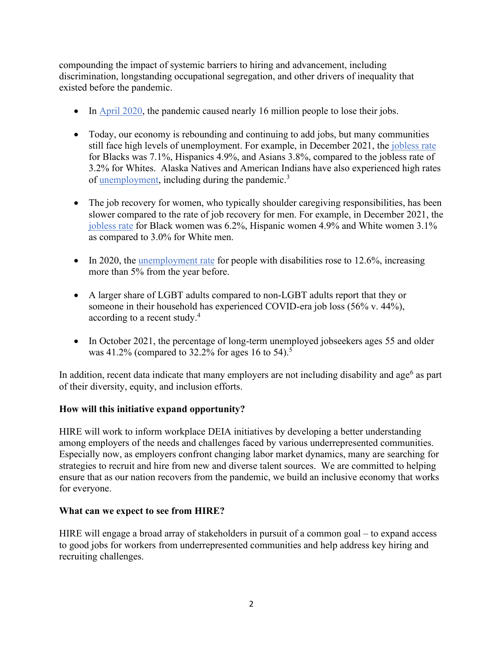compounding the impact of systemic barriers to hiring and advancement, including discrimination, longstanding occupational segregation, and other drivers of inequality that existed before the pandemic.

- In [April 2020](https://www.bls.gov/news.release/archives/empsit_05082020.pdf), the pandemic caused nearly 16 million people to lose their jobs.
- Today, our economy is rebounding and continuing to add jobs, but many communities still face high levels of unemployment. For example, in December 2021, the [jobless rate](https://www.bls.gov/news.release/pdf/empsit.pdf) for Blacks was 7.1%, Hispanics 4.9%, and Asians 3.8%, compared to the jobless rate of 3.2% for Whites. Alaska Natives and American Indians have also experienced high rates of [unemployment,](https://www.bls.gov/opub/mlr/2019/article/american-indians-and-alaska-natives-in-the-u-s-labor-force.htm) including during the pandemic.<sup>3</sup>
- The job recovery for women, who typically shoulder caregiving responsibilities, has been slower compared to the rate of job recovery for men. For example, in December 2021, the [jobless rate](https://www.bls.gov/news.release/pdf/empsit.pdf) for Black women was 6.2%, Hispanic women 4.9% and White women 3.1% as compared to 3.0% for White men.
- In 2020, the [unemployment rate](https://www.bls.gov/news.release/disabl.nr0.htm) for people with disabilities rose to 12.6%, increasing more than 5% from the year before.
- · A larger share of LGBT adults compared to non-LGBT adults report that they or someone in their household has experienced COVID-era job loss (56% v. 44%), according to a recent study.<sup>4</sup>
- In October 2021, the percentage of long-term unemployed jobseekers ages 55 and older was 41.2% (compared to 32.2% for ages 16 to 54).<sup>5</sup>

In addition, recent data indicate that many employers are not including disability and age<sup>6</sup> as part of their diversity, equity, and inclusion efforts.

# **How will this initiative expand opportunity?**

HIRE will work to inform workplace DEIA initiatives by developing a better understanding among employers of the needs and challenges faced by various underrepresented communities. Especially now, as employers confront changing labor market dynamics, many are searching for strategies to recruit and hire from new and diverse talent sources. We are committed to helping ensure that as our nation recovers from the pandemic, we build an inclusive economy that works for everyone.

# **What can we expect to see from HIRE?**

HIRE will engage a broad array of stakeholders in pursuit of a common goal – to expand access to good jobs for workers from underrepresented communities and help address key hiring and recruiting challenges.